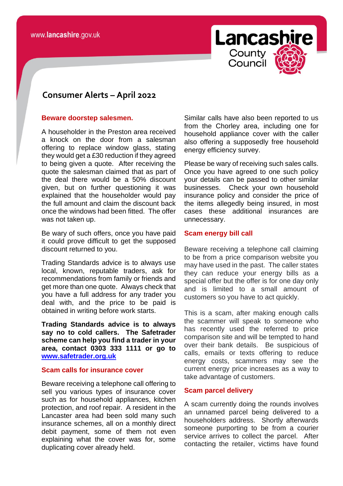

# **consomer Consumer Alerts – April 2022**

#### **Beware doorstep salesmen.**

A householder in the Preston area received a knock on the door from a salesman offering to replace window glass, stating they would get a £30 reduction if they agreed to being given a quote. After receiving the quote the salesman claimed that as part of the deal there would be a 50% discount given, but on further questioning it was explained that the householder would pay the full amount and claim the discount back once the windows had been fitted. The offer was not taken up.

Be wary of such offers, once you have paid it could prove difficult to get the supposed discount returned to you.

Trading Standards advice is to always use local, known, reputable traders, ask for recommendations from family or friends and get more than one quote. Always check that you have a full address for any trader you deal with, and the price to be paid is obtained in writing before work starts.

**Trading Standards advice is to always say no to cold callers. The Safetrader scheme can help you find a trader in your area, contact 0303 333 1111 or go to [www.safetrader.org.uk](http://www.safetrader.org.uk/)**

# **Scam calls for insurance cover**

Beware receiving a telephone call offering to sell you various types of insurance cover such as for household appliances, kitchen protection, and roof repair. A resident in the Lancaster area had been sold many such insurance schemes, all on a monthly direct debit payment, some of them not even explaining what the cover was for, some duplicating cover already held.

Similar calls have also been reported to us from the Chorley area, including one for household appliance cover with the caller also offering a supposedly free household energy efficiency survey.

Please be wary of receiving such sales calls. Once you have agreed to one such policy your details can be passed to other similar businesses. Check your own household insurance policy and consider the price of the items allegedly being insured, in most cases these additional insurances are unnecessary.

## **Scam energy bill call**

Beware receiving a telephone call claiming to be from a price comparison website you may have used in the past. The caller states they can reduce your energy bills as a special offer but the offer is for one day only and is limited to a small amount of customers so you have to act quickly.

This is a scam, after making enough calls the scammer will speak to someone who has recently used the referred to price comparison site and will be tempted to hand over their bank details. Be suspicious of calls, emails or texts offering to reduce energy costs, scammers may see the current energy price increases as a way to take advantage of customers.

## **Scam parcel delivery**

A scam currently doing the rounds involves an unnamed parcel being delivered to a householders address. Shortly afterwards someone purporting to be from a courier service arrives to collect the parcel. After contacting the retailer, victims have found